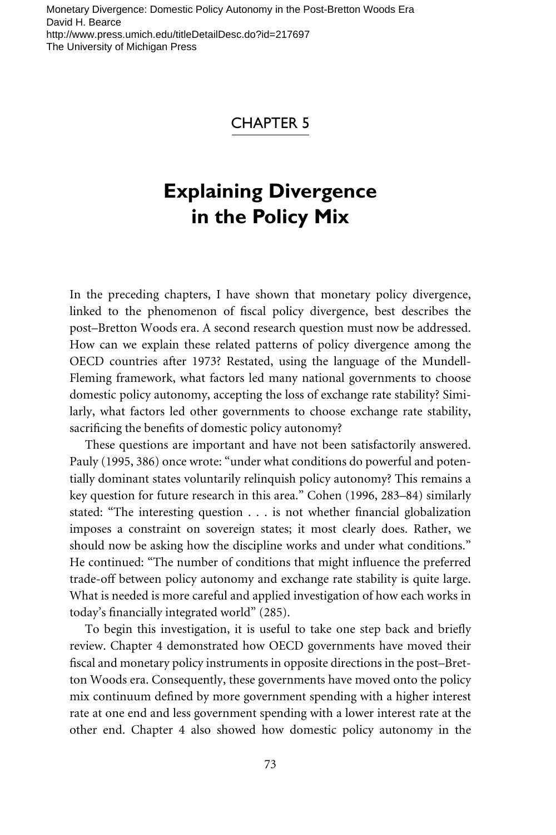# CHAPTER 5

# **Explaining Divergence in the Policy Mix**

In the preceding chapters, I have shown that monetary policy divergence, linked to the phenomenon of fiscal policy divergence, best describes the post–Bretton Woods era. A second research question must now be addressed. How can we explain these related patterns of policy divergence among the OECD countries after 1973? Restated, using the language of the Mundell-Fleming framework, what factors led many national governments to choose domestic policy autonomy, accepting the loss of exchange rate stability? Similarly, what factors led other governments to choose exchange rate stability, sacrificing the benefits of domestic policy autonomy?

These questions are important and have not been satisfactorily answered. Pauly (1995, 386) once wrote: "under what conditions do powerful and potentially dominant states voluntarily relinquish policy autonomy? This remains a key question for future research in this area." Cohen (1996, 283–84) similarly stated: "The interesting question . . . is not whether financial globalization imposes a constraint on sovereign states; it most clearly does. Rather, we should now be asking how the discipline works and under what conditions." He continued: "The number of conditions that might influence the preferred trade-off between policy autonomy and exchange rate stability is quite large. What is needed is more careful and applied investigation of how each works in today's financially integrated world" (285).

To begin this investigation, it is useful to take one step back and briefly review. Chapter 4 demonstrated how OECD governments have moved their fiscal and monetary policy instruments in opposite directions in the post–Bretton Woods era. Consequently, these governments have moved onto the policy mix continuum defined by more government spending with a higher interest rate at one end and less government spending with a lower interest rate at the other end. Chapter 4 also showed how domestic policy autonomy in the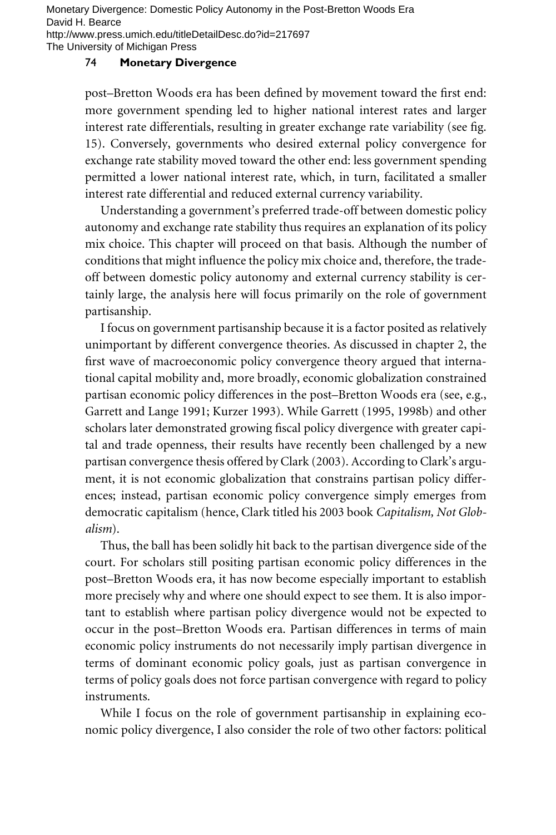#### 74 **Monetary Divergence**

post–Bretton Woods era has been defined by movement toward the first end: more government spending led to higher national interest rates and larger interest rate differentials, resulting in greater exchange rate variability (see fig. 15). Conversely, governments who desired external policy convergence for exchange rate stability moved toward the other end: less government spending permitted a lower national interest rate, which, in turn, facilitated a smaller interest rate differential and reduced external currency variability.

Understanding a government's preferred trade-off between domestic policy autonomy and exchange rate stability thus requires an explanation of its policy mix choice. This chapter will proceed on that basis. Although the number of conditions that might influence the policy mix choice and, therefore, the tradeoff between domestic policy autonomy and external currency stability is certainly large, the analysis here will focus primarily on the role of government partisanship.

I focus on government partisanship because it is a factor posited as relatively unimportant by different convergence theories. As discussed in chapter 2, the first wave of macroeconomic policy convergence theory argued that international capital mobility and, more broadly, economic globalization constrained partisan economic policy differences in the post–Bretton Woods era (see, e.g., Garrett and Lange 1991; Kurzer 1993). While Garrett (1995, 1998b) and other scholars later demonstrated growing fiscal policy divergence with greater capital and trade openness, their results have recently been challenged by a new partisan convergence thesis offered by Clark (2003). According to Clark's argument, it is not economic globalization that constrains partisan policy differences; instead, partisan economic policy convergence simply emerges from democratic capitalism (hence, Clark titled his 2003 book *Capitalism, Not Globalism*).

Thus, the ball has been solidly hit back to the partisan divergence side of the court. For scholars still positing partisan economic policy differences in the post–Bretton Woods era, it has now become especially important to establish more precisely why and where one should expect to see them. It is also important to establish where partisan policy divergence would not be expected to occur in the post–Bretton Woods era. Partisan differences in terms of main economic policy instruments do not necessarily imply partisan divergence in terms of dominant economic policy goals, just as partisan convergence in terms of policy goals does not force partisan convergence with regard to policy instruments.

While I focus on the role of government partisanship in explaining economic policy divergence, I also consider the role of two other factors: political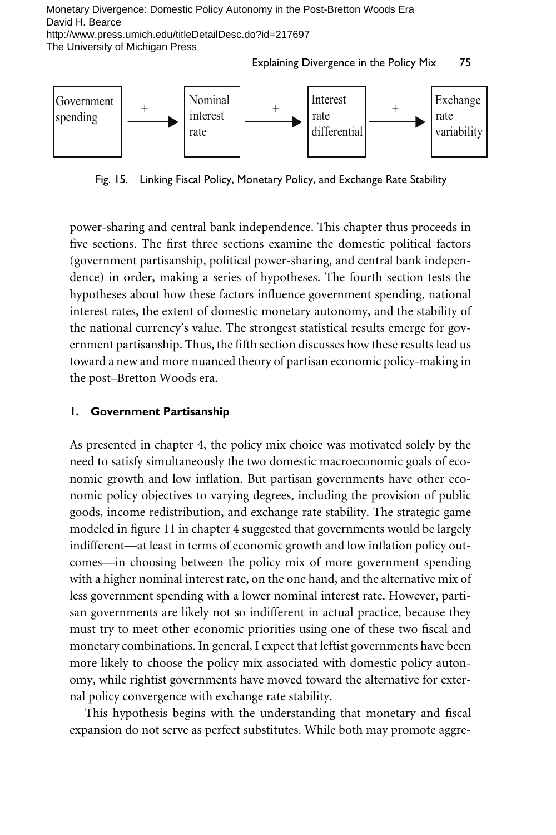Explaining Divergence in the Policy Mix 75 [Monetary Divergence: Domestic Policy Autonomy in the Post-Bretton Woods Era](http://www.press.umich.edu/titleDetailDesc.do?id=217697)  David H. Bearce http://www.press.umich.edu/titleDetailDesc.do?id=217697 The University of Michigan Press



Fig. 15. Linking Fiscal Policy, Monetary Policy, and Exchange Rate Stability

power-sharing and central bank independence. This chapter thus proceeds in five sections. The first three sections examine the domestic political factors (government partisanship, political power-sharing, and central bank independence) in order, making a series of hypotheses. The fourth section tests the hypotheses about how these factors influence government spending, national interest rates, the extent of domestic monetary autonomy, and the stability of the national currency's value. The strongest statistical results emerge for government partisanship. Thus, the fifth section discusses how these results lead us toward a new and more nuanced theory of partisan economic policy-making in the post–Bretton Woods era.

#### **1. Government Partisanship**

As presented in chapter 4, the policy mix choice was motivated solely by the need to satisfy simultaneously the two domestic macroeconomic goals of economic growth and low inflation. But partisan governments have other economic policy objectives to varying degrees, including the provision of public goods, income redistribution, and exchange rate stability. The strategic game modeled in figure 11 in chapter 4 suggested that governments would be largely indifferent—at least in terms of economic growth and low inflation policy outcomes—in choosing between the policy mix of more government spending with a higher nominal interest rate, on the one hand, and the alternative mix of less government spending with a lower nominal interest rate. However, partisan governments are likely not so indifferent in actual practice, because they must try to meet other economic priorities using one of these two fiscal and monetary combinations. In general, I expect that leftist governments have been more likely to choose the policy mix associated with domestic policy autonomy, while rightist governments have moved toward the alternative for external policy convergence with exchange rate stability.

This hypothesis begins with the understanding that monetary and fiscal expansion do not serve as perfect substitutes. While both may promote aggre-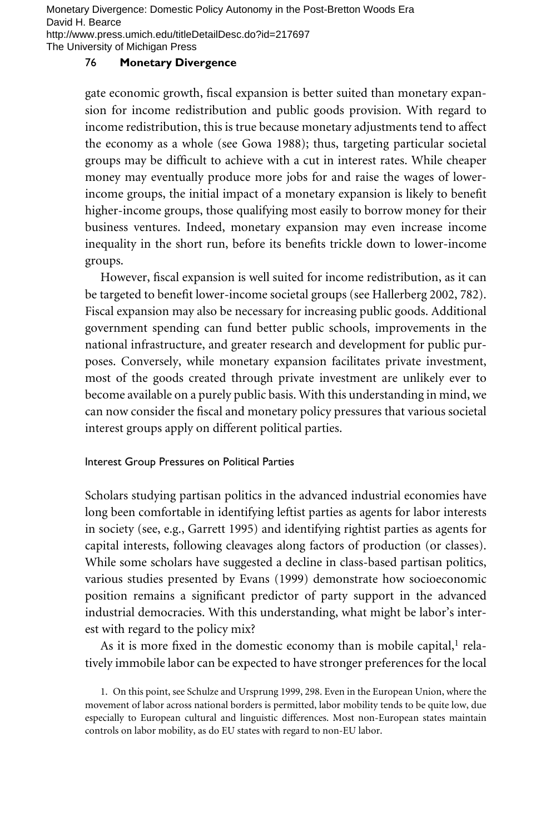## 76 **Monetary Divergence**

gate economic growth, fiscal expansion is better suited than monetary expansion for income redistribution and public goods provision. With regard to income redistribution, this is true because monetary adjustments tend to affect the economy as a whole (see Gowa 1988); thus, targeting particular societal groups may be difficult to achieve with a cut in interest rates. While cheaper money may eventually produce more jobs for and raise the wages of lowerincome groups, the initial impact of a monetary expansion is likely to benefit higher-income groups, those qualifying most easily to borrow money for their business ventures. Indeed, monetary expansion may even increase income inequality in the short run, before its benefits trickle down to lower-income groups.

However, fiscal expansion is well suited for income redistribution, as it can be targeted to benefit lower-income societal groups (see Hallerberg 2002, 782). Fiscal expansion may also be necessary for increasing public goods. Additional government spending can fund better public schools, improvements in the national infrastructure, and greater research and development for public purposes. Conversely, while monetary expansion facilitates private investment, most of the goods created through private investment are unlikely ever to become available on a purely public basis. With this understanding in mind, we can now consider the fiscal and monetary policy pressures that various societal interest groups apply on different political parties.

#### Interest Group Pressures on Political Parties

Scholars studying partisan politics in the advanced industrial economies have long been comfortable in identifying leftist parties as agents for labor interests in society (see, e.g., Garrett 1995) and identifying rightist parties as agents for capital interests, following cleavages along factors of production (or classes). While some scholars have suggested a decline in class-based partisan politics, various studies presented by Evans (1999) demonstrate how socioeconomic position remains a significant predictor of party support in the advanced industrial democracies. With this understanding, what might be labor's interest with regard to the policy mix?

As it is more fixed in the domestic economy than is mobile capital, $<sup>1</sup>$  rela-</sup> tively immobile labor can be expected to have stronger preferences for the local

1. On this point, see Schulze and Ursprung 1999, 298. Even in the European Union, where the movement of labor across national borders is permitted, labor mobility tends to be quite low, due especially to European cultural and linguistic differences. Most non-European states maintain controls on labor mobility, as do EU states with regard to non-EU labor.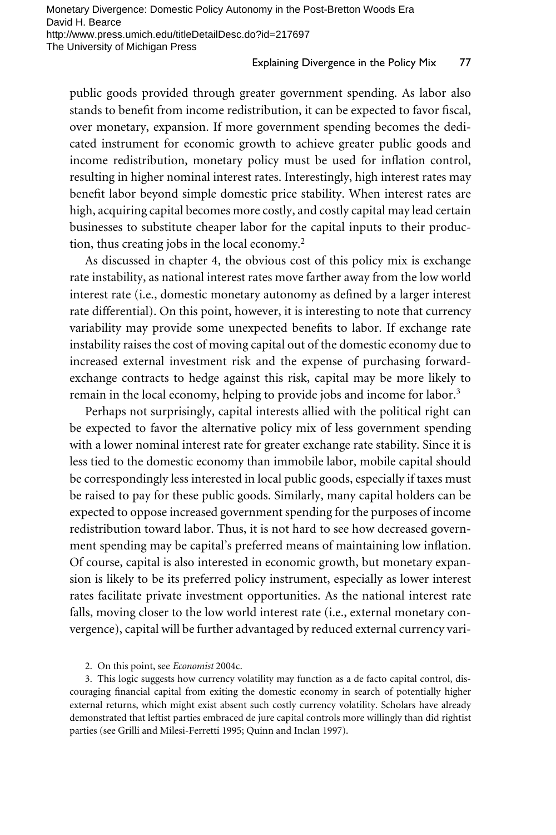#### Explaining Divergence in the Policy Mix 77

public goods provided through greater government spending. As labor also stands to benefit from income redistribution, it can be expected to favor fiscal, over monetary, expansion. If more government spending becomes the dedicated instrument for economic growth to achieve greater public goods and income redistribution, monetary policy must be used for inflation control, resulting in higher nominal interest rates. Interestingly, high interest rates may benefit labor beyond simple domestic price stability. When interest rates are high, acquiring capital becomes more costly, and costly capital may lead certain businesses to substitute cheaper labor for the capital inputs to their production, thus creating jobs in the local economy.<sup>2</sup>

As discussed in chapter 4, the obvious cost of this policy mix is exchange rate instability, as national interest rates move farther away from the low world interest rate (i.e., domestic monetary autonomy as defined by a larger interest rate differential). On this point, however, it is interesting to note that currency variability may provide some unexpected benefits to labor. If exchange rate instability raises the cost of moving capital out of the domestic economy due to increased external investment risk and the expense of purchasing forwardexchange contracts to hedge against this risk, capital may be more likely to remain in the local economy, helping to provide jobs and income for labor.<sup>3</sup>

Perhaps not surprisingly, capital interests allied with the political right can be expected to favor the alternative policy mix of less government spending with a lower nominal interest rate for greater exchange rate stability. Since it is less tied to the domestic economy than immobile labor, mobile capital should be correspondingly less interested in local public goods, especially if taxes must be raised to pay for these public goods. Similarly, many capital holders can be expected to oppose increased government spending for the purposes of income redistribution toward labor. Thus, it is not hard to see how decreased government spending may be capital's preferred means of maintaining low inflation. Of course, capital is also interested in economic growth, but monetary expansion is likely to be its preferred policy instrument, especially as lower interest rates facilitate private investment opportunities. As the national interest rate falls, moving closer to the low world interest rate (i.e., external monetary convergence), capital will be further advantaged by reduced external currency vari-

2. On this point, see *Economist* 2004c.

3. This logic suggests how currency volatility may function as a de facto capital control, discouraging financial capital from exiting the domestic economy in search of potentially higher external returns, which might exist absent such costly currency volatility. Scholars have already demonstrated that leftist parties embraced de jure capital controls more willingly than did rightist parties (see Grilli and Milesi-Ferretti 1995; Quinn and Inclan 1997).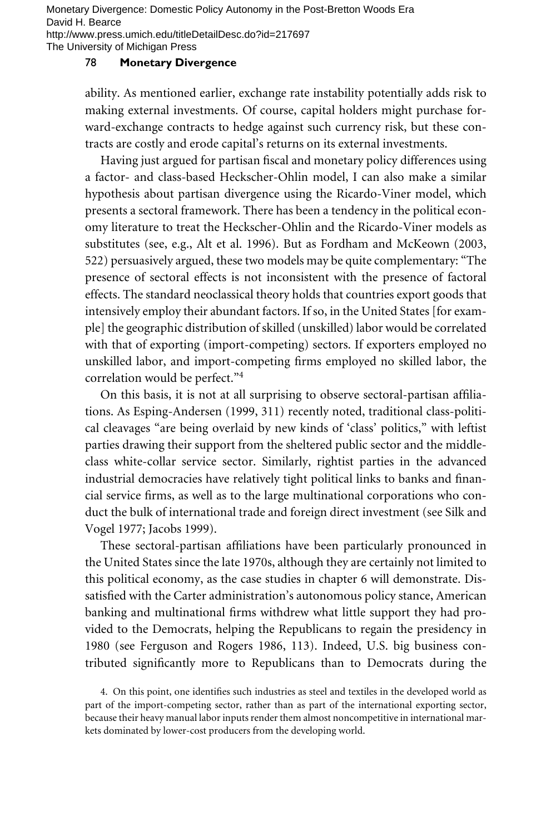#### 78 **Monetary Divergence**

ability. As mentioned earlier, exchange rate instability potentially adds risk to making external investments. Of course, capital holders might purchase forward-exchange contracts to hedge against such currency risk, but these contracts are costly and erode capital's returns on its external investments.

Having just argued for partisan fiscal and monetary policy differences using a factor- and class-based Heckscher-Ohlin model, I can also make a similar hypothesis about partisan divergence using the Ricardo-Viner model, which presents a sectoral framework. There has been a tendency in the political economy literature to treat the Heckscher-Ohlin and the Ricardo-Viner models as substitutes (see, e.g., Alt et al. 1996). But as Fordham and McKeown (2003, 522) persuasively argued, these two models may be quite complementary: "The presence of sectoral effects is not inconsistent with the presence of factoral effects. The standard neoclassical theory holds that countries export goods that intensively employ their abundant factors. If so, in the United States [for example] the geographic distribution of skilled (unskilled) labor would be correlated with that of exporting (import-competing) sectors. If exporters employed no unskilled labor, and import-competing firms employed no skilled labor, the correlation would be perfect."<sup>4</sup>

On this basis, it is not at all surprising to observe sectoral-partisan affiliations. As Esping-Andersen (1999, 311) recently noted, traditional class-political cleavages "are being overlaid by new kinds of 'class' politics," with leftist parties drawing their support from the sheltered public sector and the middleclass white-collar service sector. Similarly, rightist parties in the advanced industrial democracies have relatively tight political links to banks and financial service firms, as well as to the large multinational corporations who conduct the bulk of international trade and foreign direct investment (see Silk and Vogel 1977; Jacobs 1999).

These sectoral-partisan affiliations have been particularly pronounced in the United States since the late 1970s, although they are certainly not limited to this political economy, as the case studies in chapter 6 will demonstrate. Dissatisfied with the Carter administration's autonomous policy stance, American banking and multinational firms withdrew what little support they had provided to the Democrats, helping the Republicans to regain the presidency in 1980 (see Ferguson and Rogers 1986, 113). Indeed, U.S. big business contributed significantly more to Republicans than to Democrats during the

<sup>4.</sup> On this point, one identifies such industries as steel and textiles in the developed world as part of the import-competing sector, rather than as part of the international exporting sector, because their heavy manual labor inputs render them almost noncompetitive in international markets dominated by lower-cost producers from the developing world.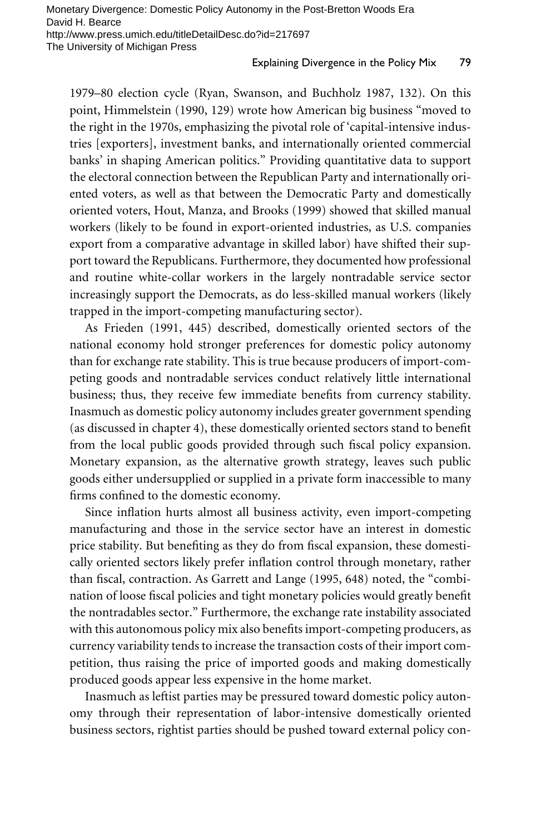#### Explaining Divergence in the Policy Mix 79

1979–80 election cycle (Ryan, Swanson, and Buchholz 1987, 132). On this point, Himmelstein (1990, 129) wrote how American big business "moved to the right in the 1970s, emphasizing the pivotal role of 'capital-intensive industries [exporters], investment banks, and internationally oriented commercial banks' in shaping American politics." Providing quantitative data to support the electoral connection between the Republican Party and internationally oriented voters, as well as that between the Democratic Party and domestically oriented voters, Hout, Manza, and Brooks (1999) showed that skilled manual workers (likely to be found in export-oriented industries, as U.S. companies export from a comparative advantage in skilled labor) have shifted their support toward the Republicans. Furthermore, they documented how professional and routine white-collar workers in the largely nontradable service sector increasingly support the Democrats, as do less-skilled manual workers (likely trapped in the import-competing manufacturing sector).

As Frieden (1991, 445) described, domestically oriented sectors of the national economy hold stronger preferences for domestic policy autonomy than for exchange rate stability. This is true because producers of import-competing goods and nontradable services conduct relatively little international business; thus, they receive few immediate benefits from currency stability. Inasmuch as domestic policy autonomy includes greater government spending (as discussed in chapter 4), these domestically oriented sectors stand to benefit from the local public goods provided through such fiscal policy expansion. Monetary expansion, as the alternative growth strategy, leaves such public goods either undersupplied or supplied in a private form inaccessible to many firms confined to the domestic economy.

Since inflation hurts almost all business activity, even import-competing manufacturing and those in the service sector have an interest in domestic price stability. But benefiting as they do from fiscal expansion, these domestically oriented sectors likely prefer inflation control through monetary, rather than fiscal, contraction. As Garrett and Lange (1995, 648) noted, the "combination of loose fiscal policies and tight monetary policies would greatly benefit the nontradables sector." Furthermore, the exchange rate instability associated with this autonomous policy mix also benefits import-competing producers, as currency variability tends to increase the transaction costs of their import competition, thus raising the price of imported goods and making domestically produced goods appear less expensive in the home market.

Inasmuch as leftist parties may be pressured toward domestic policy autonomy through their representation of labor-intensive domestically oriented business sectors, rightist parties should be pushed toward external policy con-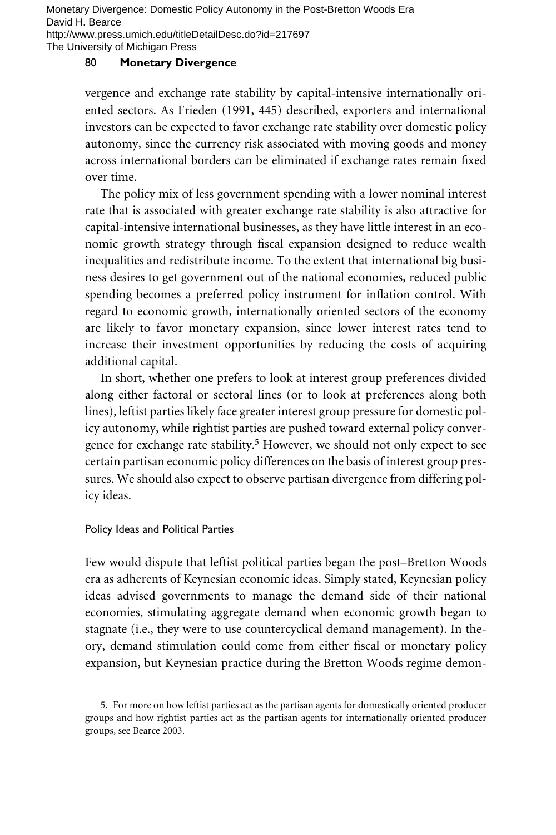# 80 **Monetary Divergence**

vergence and exchange rate stability by capital-intensive internationally oriented sectors. As Frieden (1991, 445) described, exporters and international investors can be expected to favor exchange rate stability over domestic policy autonomy, since the currency risk associated with moving goods and money across international borders can be eliminated if exchange rates remain fixed over time.

The policy mix of less government spending with a lower nominal interest rate that is associated with greater exchange rate stability is also attractive for capital-intensive international businesses, as they have little interest in an economic growth strategy through fiscal expansion designed to reduce wealth inequalities and redistribute income. To the extent that international big business desires to get government out of the national economies, reduced public spending becomes a preferred policy instrument for inflation control. With regard to economic growth, internationally oriented sectors of the economy are likely to favor monetary expansion, since lower interest rates tend to increase their investment opportunities by reducing the costs of acquiring additional capital.

In short, whether one prefers to look at interest group preferences divided along either factoral or sectoral lines (or to look at preferences along both lines), leftist parties likely face greater interest group pressure for domestic policy autonomy, while rightist parties are pushed toward external policy convergence for exchange rate stability.<sup>5</sup> However, we should not only expect to see certain partisan economic policy differences on the basis of interest group pressures. We should also expect to observe partisan divergence from differing policy ideas.

#### Policy Ideas and Political Parties

Few would dispute that leftist political parties began the post–Bretton Woods era as adherents of Keynesian economic ideas. Simply stated, Keynesian policy ideas advised governments to manage the demand side of their national economies, stimulating aggregate demand when economic growth began to stagnate (i.e., they were to use countercyclical demand management). In theory, demand stimulation could come from either fiscal or monetary policy expansion, but Keynesian practice during the Bretton Woods regime demon-

<sup>5.</sup> For more on how leftist parties act as the partisan agents for domestically oriented producer groups and how rightist parties act as the partisan agents for internationally oriented producer groups, see Bearce 2003.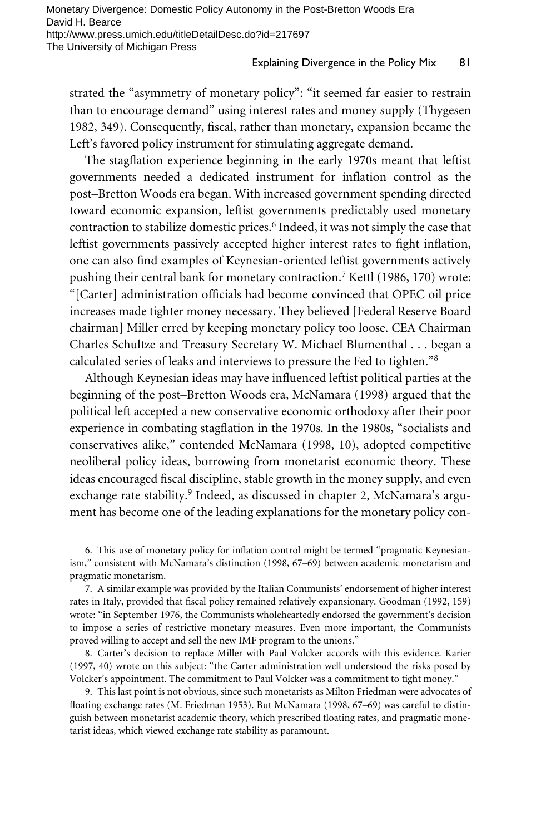strated the "asymmetry of monetary policy": "it seemed far easier to restrain than to encourage demand" using interest rates and money supply (Thygesen 1982, 349). Consequently, fiscal, rather than monetary, expansion became the Left's favored policy instrument for stimulating aggregate demand.

The stagflation experience beginning in the early 1970s meant that leftist governments needed a dedicated instrument for inflation control as the post–Bretton Woods era began. With increased government spending directed toward economic expansion, leftist governments predictably used monetary contraction to stabilize domestic prices.<sup>6</sup> Indeed, it was not simply the case that leftist governments passively accepted higher interest rates to fight inflation, one can also find examples of Keynesian-oriented leftist governments actively pushing their central bank for monetary contraction.<sup>7</sup> Kettl (1986, 170) wrote: "[Carter] administration officials had become convinced that OPEC oil price increases made tighter money necessary. They believed [Federal Reserve Board chairman] Miller erred by keeping monetary policy too loose. CEA Chairman Charles Schultze and Treasury Secretary W. Michael Blumenthal . . . began a calculated series of leaks and interviews to pressure the Fed to tighten."<sup>8</sup>

Although Keynesian ideas may have influenced leftist political parties at the beginning of the post–Bretton Woods era, McNamara (1998) argued that the political left accepted a new conservative economic orthodoxy after their poor experience in combating stagflation in the 1970s. In the 1980s, "socialists and conservatives alike," contended McNamara (1998, 10), adopted competitive neoliberal policy ideas, borrowing from monetarist economic theory. These ideas encouraged fiscal discipline, stable growth in the money supply, and even exchange rate stability.<sup>9</sup> Indeed, as discussed in chapter 2, McNamara's argument has become one of the leading explanations for the monetary policy con-

6. This use of monetary policy for inflation control might be termed "pragmatic Keynesianism," consistent with McNamara's distinction (1998, 67–69) between academic monetarism and pragmatic monetarism.

7. A similar example was provided by the Italian Communists' endorsement of higher interest rates in Italy, provided that fiscal policy remained relatively expansionary. Goodman (1992, 159) wrote: "in September 1976, the Communists wholeheartedly endorsed the government's decision to impose a series of restrictive monetary measures. Even more important, the Communists proved willing to accept and sell the new IMF program to the unions."

8. Carter's decision to replace Miller with Paul Volcker accords with this evidence. Karier (1997, 40) wrote on this subject: "the Carter administration well understood the risks posed by Volcker's appointment. The commitment to Paul Volcker was a commitment to tight money."

9. This last point is not obvious, since such monetarists as Milton Friedman were advocates of floating exchange rates (M. Friedman 1953). But McNamara (1998, 67-69) was careful to distinguish between monetarist academic theory, which prescribed floating rates, and pragmatic monetarist ideas, which viewed exchange rate stability as paramount.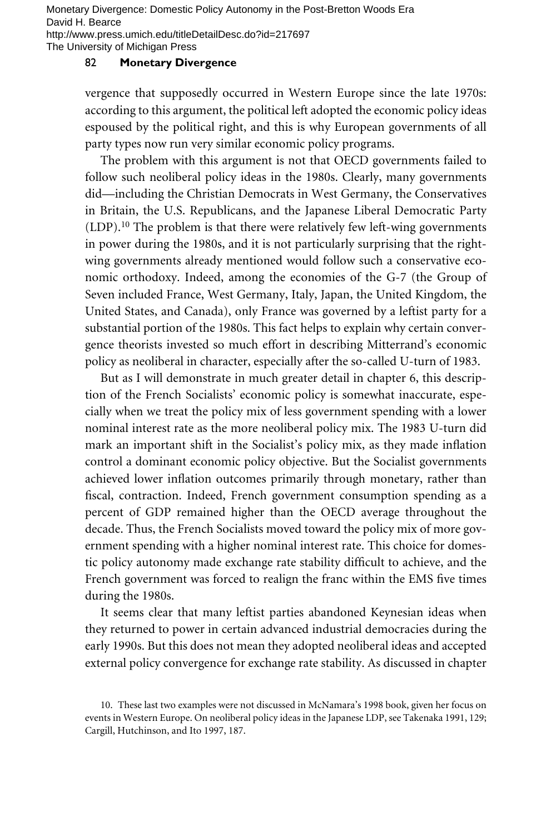Monetary Divergence: Domestic Policy Autonomy in the Post-Bretton Woods Era David H. Bearce http://www.press.umich.edu/titleDetailDesc.do?id=217697

The University of Michigan Press

## 82 **Monetary Divergence**

vergence that supposedly occurred in Western Europe since the late 1970s: according to this argument, the political left adopted the economic policy ideas espoused by the political right, and this is why European governments of all party types now run very similar economic policy programs.

The problem with this argument is not that OECD governments failed to follow such neoliberal policy ideas in the 1980s. Clearly, many governments did—including the Christian Democrats in West Germany, the Conservatives in Britain, the U.S. Republicans, and the Japanese Liberal Democratic Party (LDP).<sup>10</sup> The problem is that there were relatively few left-wing governments in power during the 1980s, and it is not particularly surprising that the rightwing governments already mentioned would follow such a conservative economic orthodoxy. Indeed, among the economies of the G-7 (the Group of Seven included France, West Germany, Italy, Japan, the United Kingdom, the United States, and Canada), only France was governed by a leftist party for a substantial portion of the 1980s. This fact helps to explain why certain convergence theorists invested so much effort in describing Mitterrand's economic policy as neoliberal in character, especially after the so-called U-turn of 1983.

But as I will demonstrate in much greater detail in chapter 6, this description of the French Socialists' economic policy is somewhat inaccurate, especially when we treat the policy mix of less government spending with a lower nominal interest rate as the more neoliberal policy mix. The 1983 U-turn did mark an important shift in the Socialist's policy mix, as they made inflation control a dominant economic policy objective. But the Socialist governments achieved lower inflation outcomes primarily through monetary, rather than fiscal, contraction. Indeed, French government consumption spending as a percent of GDP remained higher than the OECD average throughout the decade. Thus, the French Socialists moved toward the policy mix of more government spending with a higher nominal interest rate. This choice for domestic policy autonomy made exchange rate stability difficult to achieve, and the French government was forced to realign the franc within the EMS five times during the 1980s.

It seems clear that many leftist parties abandoned Keynesian ideas when they returned to power in certain advanced industrial democracies during the early 1990s. But this does not mean they adopted neoliberal ideas and accepted external policy convergence for exchange rate stability. As discussed in chapter

<sup>10.</sup> These last two examples were not discussed in McNamara's 1998 book, given her focus on events in Western Europe. On neoliberal policy ideas in the Japanese LDP, see Takenaka 1991, 129; Cargill, Hutchinson, and Ito 1997, 187.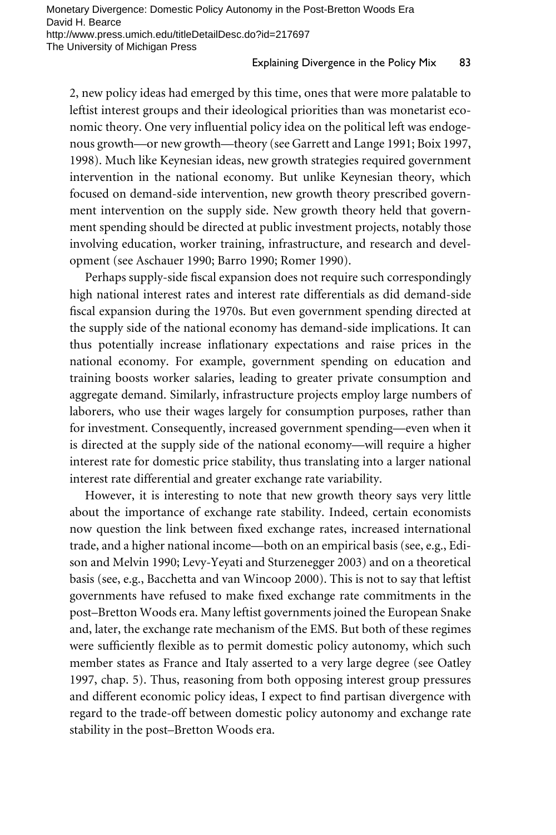2, new policy ideas had emerged by this time, ones that were more palatable to leftist interest groups and their ideological priorities than was monetarist economic theory. One very influential policy idea on the political left was endogenous growth—or new growth—theory (see Garrett and Lange 1991; Boix 1997, 1998). Much like Keynesian ideas, new growth strategies required government intervention in the national economy. But unlike Keynesian theory, which focused on demand-side intervention, new growth theory prescribed government intervention on the supply side. New growth theory held that government spending should be directed at public investment projects, notably those involving education, worker training, infrastructure, and research and development (see Aschauer 1990; Barro 1990; Romer 1990).

Perhaps supply-side fiscal expansion does not require such correspondingly high national interest rates and interest rate differentials as did demand-side fiscal expansion during the 1970s. But even government spending directed at the supply side of the national economy has demand-side implications. It can thus potentially increase inflationary expectations and raise prices in the national economy. For example, government spending on education and training boosts worker salaries, leading to greater private consumption and aggregate demand. Similarly, infrastructure projects employ large numbers of laborers, who use their wages largely for consumption purposes, rather than for investment. Consequently, increased government spending—even when it is directed at the supply side of the national economy—will require a higher interest rate for domestic price stability, thus translating into a larger national interest rate differential and greater exchange rate variability.

However, it is interesting to note that new growth theory says very little about the importance of exchange rate stability. Indeed, certain economists now question the link between fixed exchange rates, increased international trade, and a higher national income—both on an empirical basis (see, e.g., Edison and Melvin 1990; Levy-Yeyati and Sturzenegger 2003) and on a theoretical basis (see, e.g., Bacchetta and van Wincoop 2000). This is not to say that leftist governments have refused to make fixed exchange rate commitments in the post–Bretton Woods era. Many leftist governments joined the European Snake and, later, the exchange rate mechanism of the EMS. But both of these regimes were sufficiently flexible as to permit domestic policy autonomy, which such member states as France and Italy asserted to a very large degree (see Oatley 1997, chap. 5). Thus, reasoning from both opposing interest group pressures and different economic policy ideas, I expect to find partisan divergence with regard to the trade-off between domestic policy autonomy and exchange rate stability in the post–Bretton Woods era.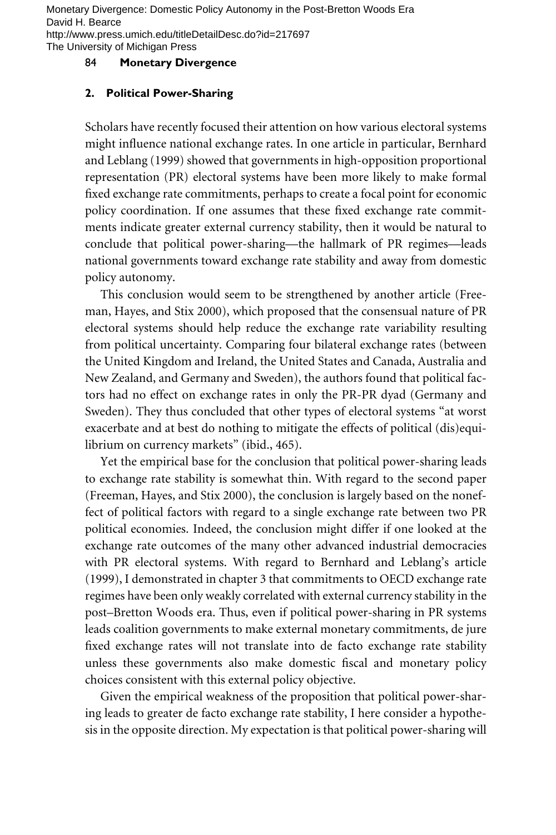# 84 **Monetary Divergence**

#### **2. Political Power-Sharing**

Scholars have recently focused their attention on how various electoral systems might influence national exchange rates. In one article in particular, Bernhard and Leblang (1999) showed that governments in high-opposition proportional representation (PR) electoral systems have been more likely to make formal fixed exchange rate commitments, perhaps to create a focal point for economic policy coordination. If one assumes that these fixed exchange rate commitments indicate greater external currency stability, then it would be natural to conclude that political power-sharing—the hallmark of PR regimes—leads national governments toward exchange rate stability and away from domestic policy autonomy.

This conclusion would seem to be strengthened by another article (Freeman, Hayes, and Stix 2000), which proposed that the consensual nature of PR electoral systems should help reduce the exchange rate variability resulting from political uncertainty. Comparing four bilateral exchange rates (between the United Kingdom and Ireland, the United States and Canada, Australia and New Zealand, and Germany and Sweden), the authors found that political factors had no effect on exchange rates in only the PR-PR dyad (Germany and Sweden). They thus concluded that other types of electoral systems "at worst exacerbate and at best do nothing to mitigate the effects of political (dis)equilibrium on currency markets" (ibid., 465).

Yet the empirical base for the conclusion that political power-sharing leads to exchange rate stability is somewhat thin. With regard to the second paper (Freeman, Hayes, and Stix 2000), the conclusion is largely based on the noneffect of political factors with regard to a single exchange rate between two PR political economies. Indeed, the conclusion might differ if one looked at the exchange rate outcomes of the many other advanced industrial democracies with PR electoral systems. With regard to Bernhard and Leblang's article (1999), I demonstrated in chapter 3 that commitments to OECD exchange rate regimes have been only weakly correlated with external currency stability in the post–Bretton Woods era. Thus, even if political power-sharing in PR systems leads coalition governments to make external monetary commitments, de jure fixed exchange rates will not translate into de facto exchange rate stability unless these governments also make domestic fiscal and monetary policy choices consistent with this external policy objective.

Given the empirical weakness of the proposition that political power-sharing leads to greater de facto exchange rate stability, I here consider a hypothesis in the opposite direction. My expectation is that political power-sharing will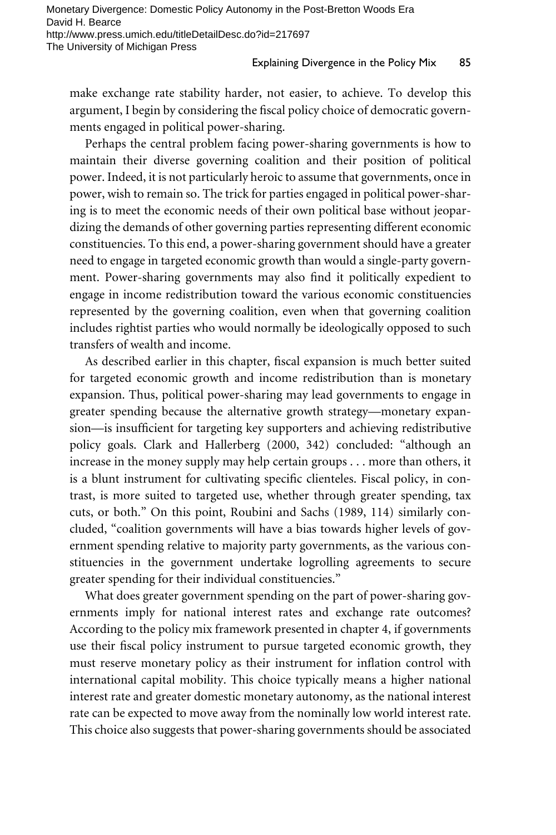make exchange rate stability harder, not easier, to achieve. To develop this argument, I begin by considering the fiscal policy choice of democratic governments engaged in political power-sharing.

Perhaps the central problem facing power-sharing governments is how to maintain their diverse governing coalition and their position of political power. Indeed, it is not particularly heroic to assume that governments, once in power, wish to remain so. The trick for parties engaged in political power-sharing is to meet the economic needs of their own political base without jeopardizing the demands of other governing parties representing different economic constituencies. To this end, a power-sharing government should have a greater need to engage in targeted economic growth than would a single-party government. Power-sharing governments may also find it politically expedient to engage in income redistribution toward the various economic constituencies represented by the governing coalition, even when that governing coalition includes rightist parties who would normally be ideologically opposed to such transfers of wealth and income.

As described earlier in this chapter, fiscal expansion is much better suited for targeted economic growth and income redistribution than is monetary expansion. Thus, political power-sharing may lead governments to engage in greater spending because the alternative growth strategy—monetary expansion—is insufficient for targeting key supporters and achieving redistributive policy goals. Clark and Hallerberg (2000, 342) concluded: "although an increase in the money supply may help certain groups . . . more than others, it is a blunt instrument for cultivating specific clienteles. Fiscal policy, in contrast, is more suited to targeted use, whether through greater spending, tax cuts, or both." On this point, Roubini and Sachs (1989, 114) similarly concluded, "coalition governments will have a bias towards higher levels of government spending relative to majority party governments, as the various constituencies in the government undertake logrolling agreements to secure greater spending for their individual constituencies."

What does greater government spending on the part of power-sharing governments imply for national interest rates and exchange rate outcomes? According to the policy mix framework presented in chapter 4, if governments use their fiscal policy instrument to pursue targeted economic growth, they must reserve monetary policy as their instrument for inflation control with international capital mobility. This choice typically means a higher national interest rate and greater domestic monetary autonomy, as the national interest rate can be expected to move away from the nominally low world interest rate. This choice also suggests that power-sharing governments should be associated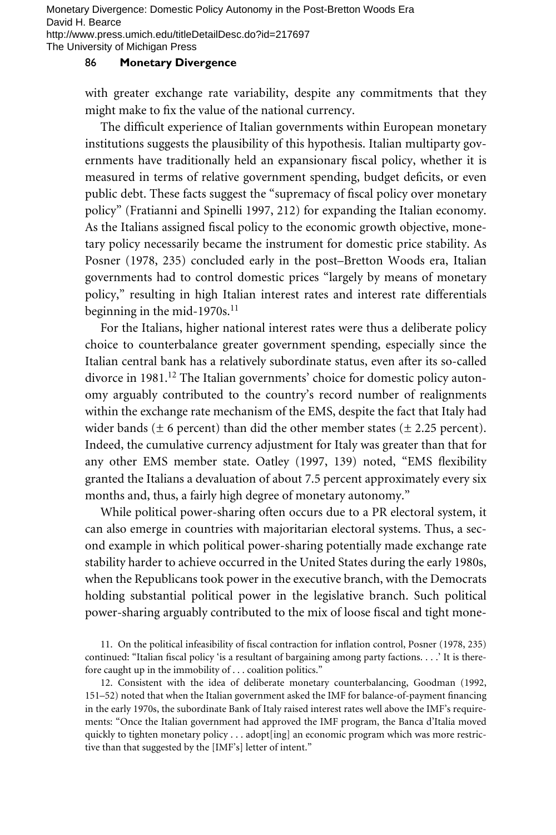## 86 **Monetary Divergence**

with greater exchange rate variability, despite any commitments that they might make to fix the value of the national currency.

The difficult experience of Italian governments within European monetary institutions suggests the plausibility of this hypothesis. Italian multiparty governments have traditionally held an expansionary fiscal policy, whether it is measured in terms of relative government spending, budget deficits, or even public debt. These facts suggest the "supremacy of fiscal policy over monetary policy" (Fratianni and Spinelli 1997, 212) for expanding the Italian economy. As the Italians assigned fiscal policy to the economic growth objective, monetary policy necessarily became the instrument for domestic price stability. As Posner (1978, 235) concluded early in the post–Bretton Woods era, Italian governments had to control domestic prices "largely by means of monetary policy," resulting in high Italian interest rates and interest rate differentials beginning in the mid-1970s. $^{11}$ 

For the Italians, higher national interest rates were thus a deliberate policy choice to counterbalance greater government spending, especially since the Italian central bank has a relatively subordinate status, even after its so-called divorce in 1981.<sup>12</sup> The Italian governments' choice for domestic policy autonomy arguably contributed to the country's record number of realignments within the exchange rate mechanism of the EMS, despite the fact that Italy had wider bands ( $\pm$  6 percent) than did the other member states ( $\pm$  2.25 percent). Indeed, the cumulative currency adjustment for Italy was greater than that for any other EMS member state. Oatley (1997, 139) noted, "EMS flexibility granted the Italians a devaluation of about 7.5 percent approximately every six months and, thus, a fairly high degree of monetary autonomy."

While political power-sharing often occurs due to a PR electoral system, it can also emerge in countries with majoritarian electoral systems. Thus, a second example in which political power-sharing potentially made exchange rate stability harder to achieve occurred in the United States during the early 1980s, when the Republicans took power in the executive branch, with the Democrats holding substantial political power in the legislative branch. Such political power-sharing arguably contributed to the mix of loose fiscal and tight mone-

11. On the political infeasibility of fiscal contraction for inflation control, Posner (1978, 235) continued: "Italian fiscal policy 'is a resultant of bargaining among party factions. . . .' It is therefore caught up in the immobility of . . . coalition politics."

12. Consistent with the idea of deliberate monetary counterbalancing, Goodman (1992, 151–52) noted that when the Italian government asked the IMF for balance-of-payment financing in the early 1970s, the subordinate Bank of Italy raised interest rates well above the IMF's requirements: "Once the Italian government had approved the IMF program, the Banca d'Italia moved quickly to tighten monetary policy . . . adopt[ing] an economic program which was more restrictive than that suggested by the [IMF's] letter of intent."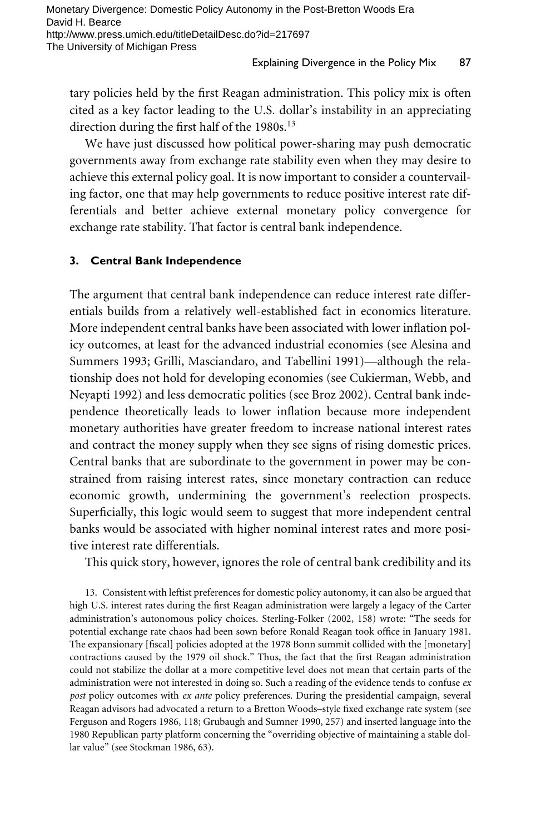tary policies held by the first Reagan administration. This policy mix is often cited as a key factor leading to the U.S. dollar's instability in an appreciating direction during the first half of the  $1980s$ .<sup>13</sup>

We have just discussed how political power-sharing may push democratic governments away from exchange rate stability even when they may desire to achieve this external policy goal. It is now important to consider a countervailing factor, one that may help governments to reduce positive interest rate differentials and better achieve external monetary policy convergence for exchange rate stability. That factor is central bank independence.

#### **3. Central Bank Independence**

The argument that central bank independence can reduce interest rate differentials builds from a relatively well-established fact in economics literature. More independent central banks have been associated with lower inflation policy outcomes, at least for the advanced industrial economies (see Alesina and Summers 1993; Grilli, Masciandaro, and Tabellini 1991)—although the relationship does not hold for developing economies (see Cukierman, Webb, and Neyapti 1992) and less democratic polities (see Broz 2002). Central bank independence theoretically leads to lower inflation because more independent monetary authorities have greater freedom to increase national interest rates and contract the money supply when they see signs of rising domestic prices. Central banks that are subordinate to the government in power may be constrained from raising interest rates, since monetary contraction can reduce economic growth, undermining the government's reelection prospects. Superficially, this logic would seem to suggest that more independent central banks would be associated with higher nominal interest rates and more positive interest rate differentials.

This quick story, however, ignores the role of central bank credibility and its

13. Consistent with leftist preferences for domestic policy autonomy, it can also be argued that high U.S. interest rates during the first Reagan administration were largely a legacy of the Carter administration's autonomous policy choices. Sterling-Folker (2002, 158) wrote: "The seeds for potential exchange rate chaos had been sown before Ronald Reagan took office in January 1981. The expansionary [fiscal] policies adopted at the 1978 Bonn summit collided with the [monetary] contractions caused by the 1979 oil shock." Thus, the fact that the first Reagan administration could not stabilize the dollar at a more competitive level does not mean that certain parts of the administration were not interested in doing so. Such a reading of the evidence tends to confuse *ex post* policy outcomes with *ex ante* policy preferences. During the presidential campaign, several Reagan advisors had advocated a return to a Bretton Woods-style fixed exchange rate system (see Ferguson and Rogers 1986, 118; Grubaugh and Sumner 1990, 257) and inserted language into the 1980 Republican party platform concerning the "overriding objective of maintaining a stable dollar value" (see Stockman 1986, 63).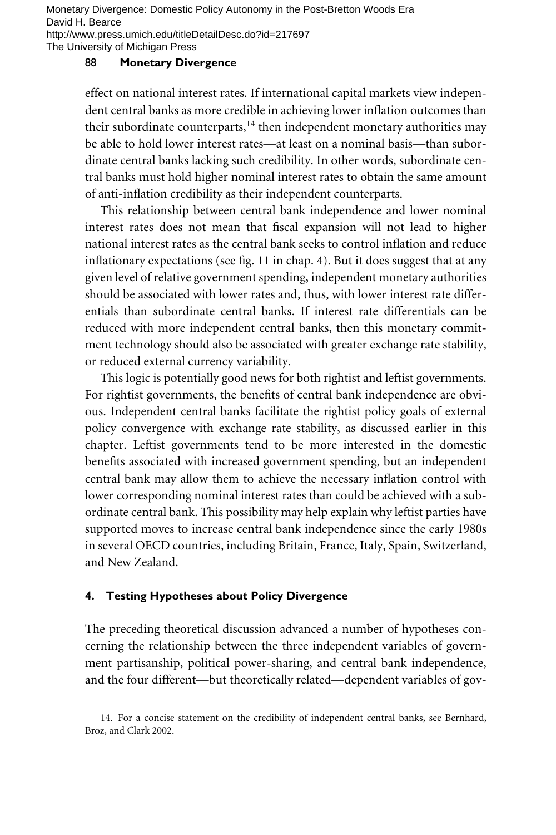## 88 **Monetary Divergence**

effect on national interest rates. If international capital markets view independent central banks as more credible in achieving lower inflation outcomes than their subordinate counterparts, $14$  then independent monetary authorities may be able to hold lower interest rates—at least on a nominal basis—than subordinate central banks lacking such credibility. In other words, subordinate central banks must hold higher nominal interest rates to obtain the same amount of anti-inflation credibility as their independent counterparts.

This relationship between central bank independence and lower nominal interest rates does not mean that fiscal expansion will not lead to higher national interest rates as the central bank seeks to control inflation and reduce inflationary expectations (see fig.  $11$  in chap. 4). But it does suggest that at any given level of relative government spending, independent monetary authorities should be associated with lower rates and, thus, with lower interest rate differentials than subordinate central banks. If interest rate differentials can be reduced with more independent central banks, then this monetary commitment technology should also be associated with greater exchange rate stability, or reduced external currency variability.

This logic is potentially good news for both rightist and leftist governments. For rightist governments, the benefits of central bank independence are obvious. Independent central banks facilitate the rightist policy goals of external policy convergence with exchange rate stability, as discussed earlier in this chapter. Leftist governments tend to be more interested in the domestic benefits associated with increased government spending, but an independent central bank may allow them to achieve the necessary inflation control with lower corresponding nominal interest rates than could be achieved with a subordinate central bank. This possibility may help explain why leftist parties have supported moves to increase central bank independence since the early 1980s in several OECD countries, including Britain, France, Italy, Spain, Switzerland, and New Zealand.

#### **4. Testing Hypotheses about Policy Divergence**

The preceding theoretical discussion advanced a number of hypotheses concerning the relationship between the three independent variables of government partisanship, political power-sharing, and central bank independence, and the four different—but theoretically related—dependent variables of gov-

<sup>14.</sup> For a concise statement on the credibility of independent central banks, see Bernhard, Broz, and Clark 2002.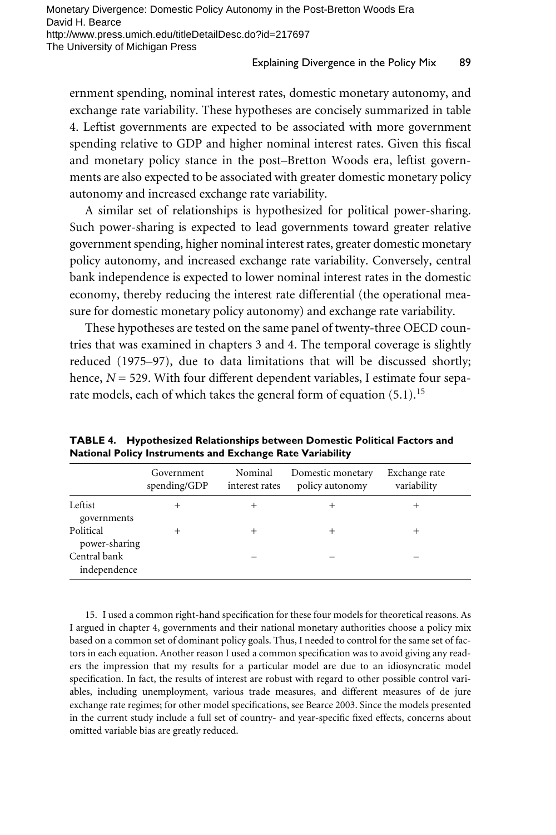ernment spending, nominal interest rates, domestic monetary autonomy, and exchange rate variability. These hypotheses are concisely summarized in table 4. Leftist governments are expected to be associated with more government spending relative to GDP and higher nominal interest rates. Given this fiscal and monetary policy stance in the post–Bretton Woods era, leftist governments are also expected to be associated with greater domestic monetary policy autonomy and increased exchange rate variability.

A similar set of relationships is hypothesized for political power-sharing. Such power-sharing is expected to lead governments toward greater relative government spending, higher nominal interest rates, greater domestic monetary policy autonomy, and increased exchange rate variability. Conversely, central bank independence is expected to lower nominal interest rates in the domestic economy, thereby reducing the interest rate differential (the operational measure for domestic monetary policy autonomy) and exchange rate variability.

These hypotheses are tested on the same panel of twenty-three OECD countries that was examined in chapters 3 and 4. The temporal coverage is slightly reduced (1975–97), due to data limitations that will be discussed shortly; hence,  $N = 529$ . With four different dependent variables, I estimate four separate models, each of which takes the general form of equation (5.1).<sup>15</sup>

Government Nominal Domestic monetary Exchange rate spending/GDP interest rates policy autonomy variability Leftist  $+$   $+$   $+$   $+$   $+$ governments Political  $+$   $+$   $+$   $+$   $+$ power-sharing

Central bank independence

**TABLE 4. Hypothesized Relationships between Domestic Political Factors and National Policy Instruments and Exchange Rate Variability**

15. I used a common right-hand specification for these four models for theoretical reasons. As I argued in chapter 4, governments and their national monetary authorities choose a policy mix based on a common set of dominant policy goals. Thus, I needed to control for the same set of factors in each equation. Another reason I used a common specification was to avoid giving any readers the impression that my results for a particular model are due to an idiosyncratic model specification. In fact, the results of interest are robust with regard to other possible control variables, including unemployment, various trade measures, and different measures of de jure exchange rate regimes; for other model specifications, see Bearce 2003. Since the models presented in the current study include a full set of country- and year-specific fixed effects, concerns about omitted variable bias are greatly reduced.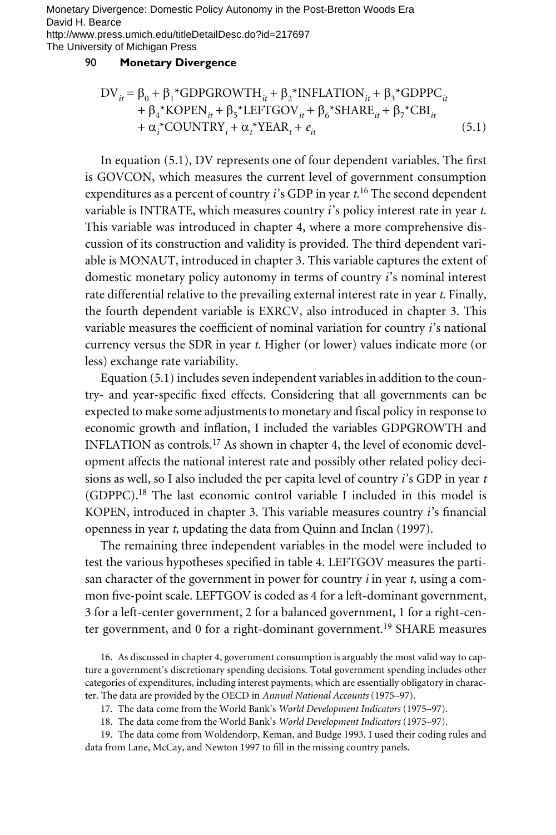## 90 **Monetary Divergence**

$$
DV_{it} = \beta_0 + \beta_1 * GDPGROWTH_{it} + \beta_2 * INFLATION_{it} + \beta_3 * GDPPC_{it} + \beta_4 * KOPEN_{it} + \beta_5 * LEFTGOV_{it} + \beta_6 * SHARE_{it} + \beta_7 * CBI_{it} + \alpha_i * COUNTRY_i + \alpha_i * YEAR_t + e_{it}
$$
(5.1)

In equation  $(5.1)$ , DV represents one of four dependent variables. The first is GOVCON, which measures the current level of government consumption expenditures as a percent of country *i*'s GDP in year *t.*<sup>16</sup> The second dependent variable is INTRATE, which measures country *i*'s policy interest rate in year *t.* This variable was introduced in chapter 4, where a more comprehensive discussion of its construction and validity is provided. The third dependent variable is MONAUT, introduced in chapter 3. This variable captures the extent of domestic monetary policy autonomy in terms of country *i*'s nominal interest rate differential relative to the prevailing external interest rate in year *t.* Finally, the fourth dependent variable is EXRCV, also introduced in chapter 3. This variable measures the coefficient of nominal variation for country *i*'s national currency versus the SDR in year *t.* Higher (or lower) values indicate more (or less) exchange rate variability.

Equation (5.1) includes seven independent variables in addition to the country- and year-specific fixed effects. Considering that all governments can be expected to make some adjustments to monetary and fiscal policy in response to economic growth and inflation, I included the variables GDPGROWTH and INFLATION as controls.17 As shown in chapter 4, the level of economic development affects the national interest rate and possibly other related policy decisions as well, so I also included the per capita level of country *i*'s GDP in year *t* (GDPPC).18 The last economic control variable I included in this model is KOPEN, introduced in chapter 3. This variable measures country *i*'s financial openness in year *t,* updating the data from Quinn and Inclan (1997).

The remaining three independent variables in the model were included to test the various hypotheses specified in table 4. LEFTGOV measures the partisan character of the government in power for country *i* in year *t,* using a common five-point scale. LEFTGOV is coded as 4 for a left-dominant government, 3 for a left-center government, 2 for a balanced government, 1 for a right-center government, and 0 for a right-dominant government.<sup>19</sup> SHARE measures

<sup>16.</sup> As discussed in chapter 4, government consumption is arguably the most valid way to capture a government's discretionary spending decisions. Total government spending includes other categories of expenditures, including interest payments, which are essentially obligatory in character. The data are provided by the OECD in *Annual National Accounts* (1975–97).

<sup>17.</sup> The data come from the World Bank's *World Development Indicators* (1975–97).

<sup>18.</sup> The data come from the World Bank's *World Development Indicators* (1975–97).

<sup>19.</sup> The data come from Woldendorp, Keman, and Budge 1993. I used their coding rules and data from Lane, McCay, and Newton 1997 to fill in the missing country panels.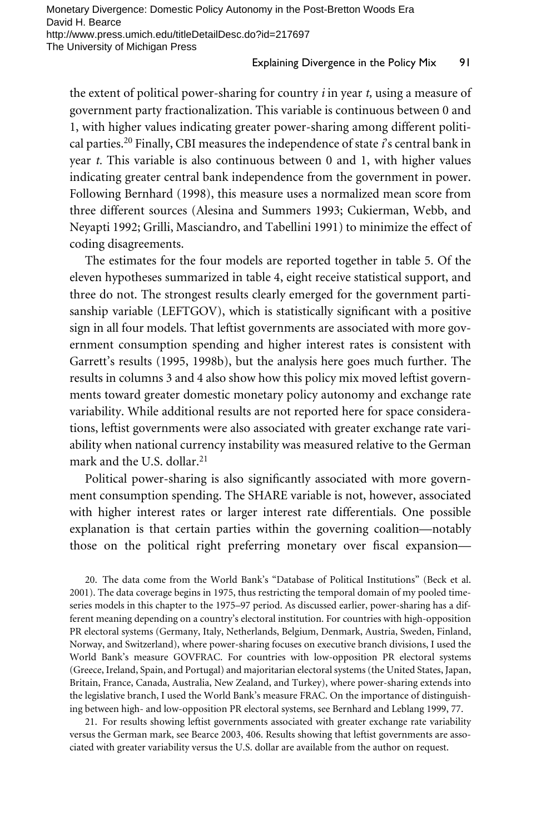#### Explaining Divergence in the Policy Mix 91

the extent of political power-sharing for country *i* in year *t,* using a measure of government party fractionalization. This variable is continuous between 0 and 1, with higher values indicating greater power-sharing among different political parties.20 Finally, CBI measures the independence of state *i*'s central bank in year *t.* This variable is also continuous between 0 and 1, with higher values indicating greater central bank independence from the government in power. Following Bernhard (1998), this measure uses a normalized mean score from three different sources (Alesina and Summers 1993; Cukierman, Webb, and Neyapti 1992; Grilli, Masciandro, and Tabellini 1991) to minimize the effect of coding disagreements.

The estimates for the four models are reported together in table 5. Of the eleven hypotheses summarized in table 4, eight receive statistical support, and three do not. The strongest results clearly emerged for the government partisanship variable (LEFTGOV), which is statistically significant with a positive sign in all four models. That leftist governments are associated with more government consumption spending and higher interest rates is consistent with Garrett's results (1995, 1998b), but the analysis here goes much further. The results in columns 3 and 4 also show how this policy mix moved leftist governments toward greater domestic monetary policy autonomy and exchange rate variability. While additional results are not reported here for space considerations, leftist governments were also associated with greater exchange rate variability when national currency instability was measured relative to the German mark and the U.S. dollar.<sup>21</sup>

Political power-sharing is also significantly associated with more government consumption spending. The SHARE variable is not, however, associated with higher interest rates or larger interest rate differentials. One possible explanation is that certain parties within the governing coalition—notably those on the political right preferring monetary over fiscal expansion—

20. The data come from the World Bank's "Database of Political Institutions" (Beck et al. 2001). The data coverage begins in 1975, thus restricting the temporal domain of my pooled timeseries models in this chapter to the 1975–97 period. As discussed earlier, power-sharing has a different meaning depending on a country's electoral institution. For countries with high-opposition PR electoral systems (Germany, Italy, Netherlands, Belgium, Denmark, Austria, Sweden, Finland, Norway, and Switzerland), where power-sharing focuses on executive branch divisions, I used the World Bank's measure GOVFRAC. For countries with low-opposition PR electoral systems (Greece, Ireland, Spain, and Portugal) and majoritarian electoral systems (the United States, Japan, Britain, France, Canada, Australia, New Zealand, and Turkey), where power-sharing extends into the legislative branch, I used the World Bank's measure FRAC. On the importance of distinguishing between high- and low-opposition PR electoral systems, see Bernhard and Leblang 1999, 77.

21. For results showing leftist governments associated with greater exchange rate variability versus the German mark, see Bearce 2003, 406. Results showing that leftist governments are associated with greater variability versus the U.S. dollar are available from the author on request.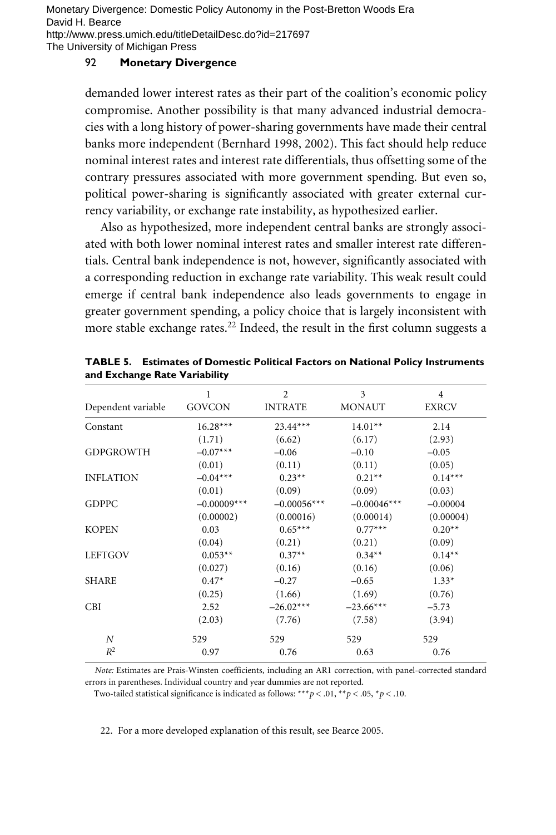## 92 **Monetary Divergence**

demanded lower interest rates as their part of the coalition's economic policy compromise. Another possibility is that many advanced industrial democracies with a long history of power-sharing governments have made their central banks more independent (Bernhard 1998, 2002). This fact should help reduce nominal interest rates and interest rate differentials, thus offsetting some of the contrary pressures associated with more government spending. But even so, political power-sharing is significantly associated with greater external currency variability, or exchange rate instability, as hypothesized earlier.

Also as hypothesized, more independent central banks are strongly associated with both lower nominal interest rates and smaller interest rate differentials. Central bank independence is not, however, significantly associated with a corresponding reduction in exchange rate variability. This weak result could emerge if central bank independence also leads governments to engage in greater government spending, a policy choice that is largely inconsistent with more stable exchange rates.<sup>22</sup> Indeed, the result in the first column suggests a

| Dependent variable | <b>GOVCON</b> | $\overline{c}$<br><b>INTRATE</b> | 3<br><b>MONAUT</b> | $\overline{4}$<br><b>EXRCV</b> |
|--------------------|---------------|----------------------------------|--------------------|--------------------------------|
|                    |               |                                  |                    |                                |
| Constant           | $16.28***$    | $23.44***$                       | $14.01**$          | 2.14                           |
|                    | (1.71)        | (6.62)                           | (6.17)             | (2.93)                         |
| <b>GDPGROWTH</b>   | $-0.07***$    | $-0.06$                          | $-0.10$            | $-0.05$                        |
|                    | (0.01)        | (0.11)                           | (0.11)             | (0.05)                         |
| <b>INFLATION</b>   | $-0.04***$    | $0.23**$                         | $0.21**$           | $0.14***$                      |
|                    | (0.01)        | (0.09)                           | (0.09)             | (0.03)                         |
| <b>GDPPC</b>       | $-0.00009***$ | $-0.00056***$                    | $-0.00046***$      | $-0.00004$                     |
|                    | (0.00002)     | (0.00016)                        | (0.00014)          | (0.00004)                      |
| <b>KOPEN</b>       | 0.03          | $0.65***$                        | $0.77***$          | $0.20**$                       |
|                    | (0.04)        | (0.21)                           | (0.21)             | (0.09)                         |
| <b>LEFTGOV</b>     | $0.053**$     | $0.37**$                         | $0.34**$           | $0.14**$                       |
|                    | (0.027)       | (0.16)                           | (0.16)             | (0.06)                         |
| <b>SHARE</b>       | $0.47*$       | $-0.27$                          | $-0.65$            | $1.33*$                        |
|                    | (0.25)        | (1.66)                           | (1.69)             | (0.76)                         |
| <b>CBI</b>         | 2.52          | $-26.02***$                      | $-23.66***$        | $-5.73$                        |
|                    | (2.03)        | (7.76)                           | (7.58)             | (3.94)                         |
| N                  | 529           | 529                              | 529                | 529                            |
| $R^2$              | 0.97          | 0.76                             | 0.63               | 0.76                           |

**TABLE 5. Estimates of Domestic Political Factors on National Policy Instruments and Exchange Rate Variability**

*Note:* Estimates are Prais-Winsten coefficients, including an AR1 correction, with panel-corrected standard errors in parentheses. Individual country and year dummies are not reported.

Two-tailed statistical significance is indicated as follows: \*\*\* $p < .01$ , \*\* $p < .05$ , \* $p < .10$ .

22. For a more developed explanation of this result, see Bearce 2005.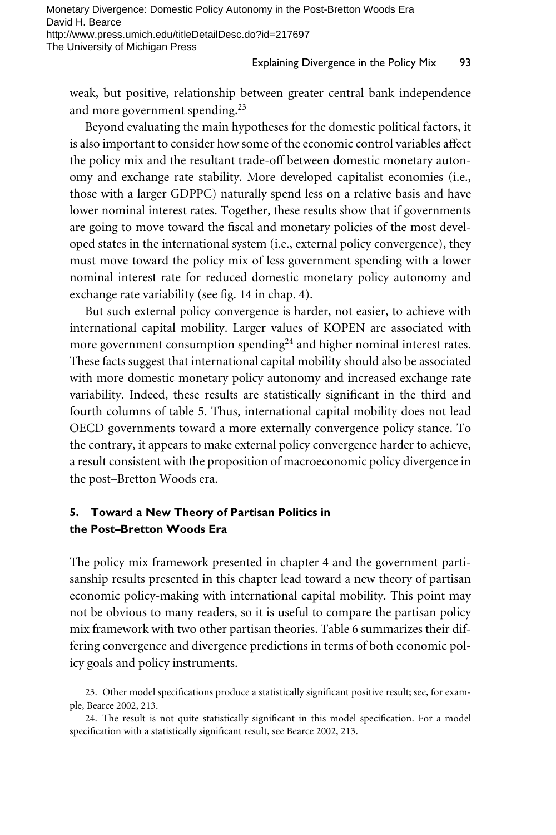weak, but positive, relationship between greater central bank independence and more government spending.<sup>23</sup>

Beyond evaluating the main hypotheses for the domestic political factors, it is also important to consider how some of the economic control variables affect the policy mix and the resultant trade-off between domestic monetary autonomy and exchange rate stability. More developed capitalist economies (i.e., those with a larger GDPPC) naturally spend less on a relative basis and have lower nominal interest rates. Together, these results show that if governments are going to move toward the fiscal and monetary policies of the most developed states in the international system (i.e., external policy convergence), they must move toward the policy mix of less government spending with a lower nominal interest rate for reduced domestic monetary policy autonomy and exchange rate variability (see fig. 14 in chap. 4).

But such external policy convergence is harder, not easier, to achieve with international capital mobility. Larger values of KOPEN are associated with more government consumption spending<sup>24</sup> and higher nominal interest rates. These facts suggest that international capital mobility should also be associated with more domestic monetary policy autonomy and increased exchange rate variability. Indeed, these results are statistically significant in the third and fourth columns of table 5. Thus, international capital mobility does not lead OECD governments toward a more externally convergence policy stance. To the contrary, it appears to make external policy convergence harder to achieve, a result consistent with the proposition of macroeconomic policy divergence in the post–Bretton Woods era.

## **5. Toward a New Theory of Partisan Politics in the Post–Bretton Woods Era**

The policy mix framework presented in chapter 4 and the government partisanship results presented in this chapter lead toward a new theory of partisan economic policy-making with international capital mobility. This point may not be obvious to many readers, so it is useful to compare the partisan policy mix framework with two other partisan theories. Table 6 summarizes their differing convergence and divergence predictions in terms of both economic policy goals and policy instruments.

24. The result is not quite statistically significant in this model specification. For a model specification with a statistically significant result, see Bearce 2002, 213.

<sup>23.</sup> Other model specifications produce a statistically significant positive result; see, for example, Bearce 2002, 213.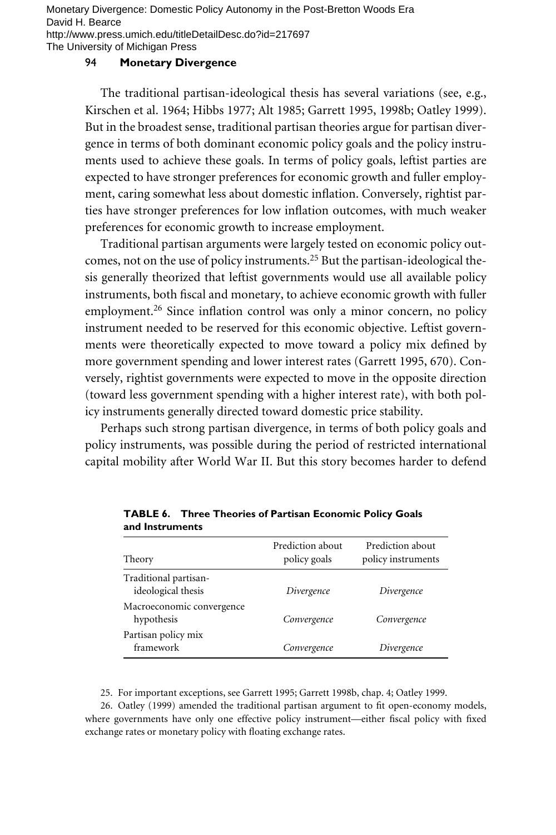## 94 **Monetary Divergence**

The traditional partisan-ideological thesis has several variations (see, e.g., Kirschen et al. 1964; Hibbs 1977; Alt 1985; Garrett 1995, 1998b; Oatley 1999). But in the broadest sense, traditional partisan theories argue for partisan divergence in terms of both dominant economic policy goals and the policy instruments used to achieve these goals. In terms of policy goals, leftist parties are expected to have stronger preferences for economic growth and fuller employment, caring somewhat less about domestic inflation. Conversely, rightist parties have stronger preferences for low inflation outcomes, with much weaker preferences for economic growth to increase employment.

Traditional partisan arguments were largely tested on economic policy outcomes, not on the use of policy instruments.<sup>25</sup> But the partisan-ideological thesis generally theorized that leftist governments would use all available policy instruments, both fiscal and monetary, to achieve economic growth with fuller employment.<sup>26</sup> Since inflation control was only a minor concern, no policy instrument needed to be reserved for this economic objective. Leftist governments were theoretically expected to move toward a policy mix defined by more government spending and lower interest rates (Garrett 1995, 670). Conversely, rightist governments were expected to move in the opposite direction (toward less government spending with a higher interest rate), with both policy instruments generally directed toward domestic price stability.

Perhaps such strong partisan divergence, in terms of both policy goals and policy instruments, was possible during the period of restricted international capital mobility after World War II. But this story becomes harder to defend

| Theory                                      | Prediction about<br>policy goals | Prediction about<br>policy instruments |
|---------------------------------------------|----------------------------------|----------------------------------------|
| Traditional partisan-<br>ideological thesis | Divergence                       | Divergence                             |
| Macroeconomic convergence<br>hypothesis     | Convergence                      | Convergence                            |
| Partisan policy mix<br>framework            | Convergence                      | Divergence                             |

|                 | TABLE 6. Three Theories of Partisan Economic Policy Goals |
|-----------------|-----------------------------------------------------------|
| and Instruments |                                                           |

25. For important exceptions, see Garrett 1995; Garrett 1998b, chap. 4; Oatley 1999.

26. Oatley (1999) amended the traditional partisan argument to fit open-economy models, where governments have only one effective policy instrument—either fiscal policy with fixed exchange rates or monetary policy with floating exchange rates.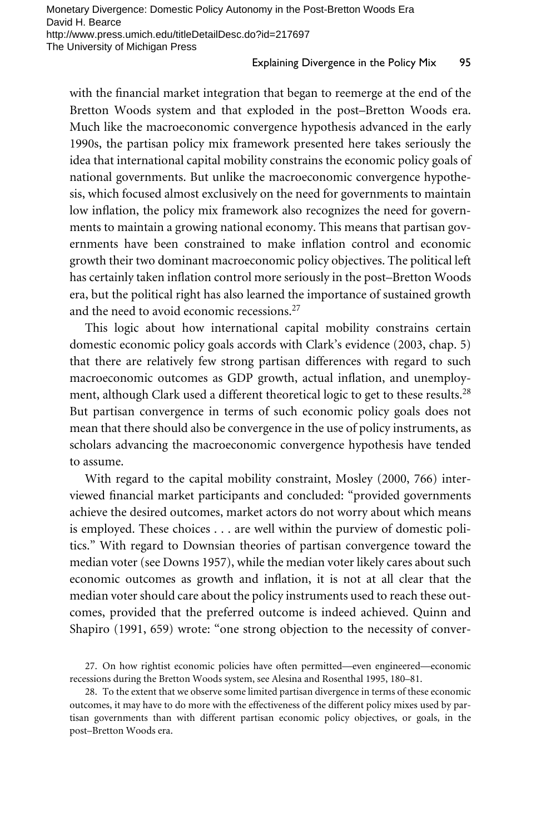#### Explaining Divergence in the Policy Mix 95

with the financial market integration that began to reemerge at the end of the Bretton Woods system and that exploded in the post–Bretton Woods era. Much like the macroeconomic convergence hypothesis advanced in the early 1990s, the partisan policy mix framework presented here takes seriously the idea that international capital mobility constrains the economic policy goals of national governments. But unlike the macroeconomic convergence hypothesis, which focused almost exclusively on the need for governments to maintain low inflation, the policy mix framework also recognizes the need for governments to maintain a growing national economy. This means that partisan governments have been constrained to make inflation control and economic growth their two dominant macroeconomic policy objectives. The political left has certainly taken inflation control more seriously in the post-Bretton Woods era, but the political right has also learned the importance of sustained growth and the need to avoid economic recessions.<sup>27</sup>

This logic about how international capital mobility constrains certain domestic economic policy goals accords with Clark's evidence (2003, chap. 5) that there are relatively few strong partisan differences with regard to such macroeconomic outcomes as GDP growth, actual inflation, and unemployment, although Clark used a different theoretical logic to get to these results.<sup>28</sup> But partisan convergence in terms of such economic policy goals does not mean that there should also be convergence in the use of policy instruments, as scholars advancing the macroeconomic convergence hypothesis have tended to assume.

With regard to the capital mobility constraint, Mosley (2000, 766) interviewed financial market participants and concluded: "provided governments achieve the desired outcomes, market actors do not worry about which means is employed. These choices . . . are well within the purview of domestic politics." With regard to Downsian theories of partisan convergence toward the median voter (see Downs 1957), while the median voter likely cares about such economic outcomes as growth and inflation, it is not at all clear that the median voter should care about the policy instruments used to reach these outcomes, provided that the preferred outcome is indeed achieved. Quinn and Shapiro (1991, 659) wrote: "one strong objection to the necessity of conver-

<sup>27.</sup> On how rightist economic policies have often permitted—even engineered—economic recessions during the Bretton Woods system, see Alesina and Rosenthal 1995, 180–81.

<sup>28.</sup> To the extent that we observe some limited partisan divergence in terms of these economic outcomes, it may have to do more with the effectiveness of the different policy mixes used by partisan governments than with different partisan economic policy objectives, or goals, in the post–Bretton Woods era.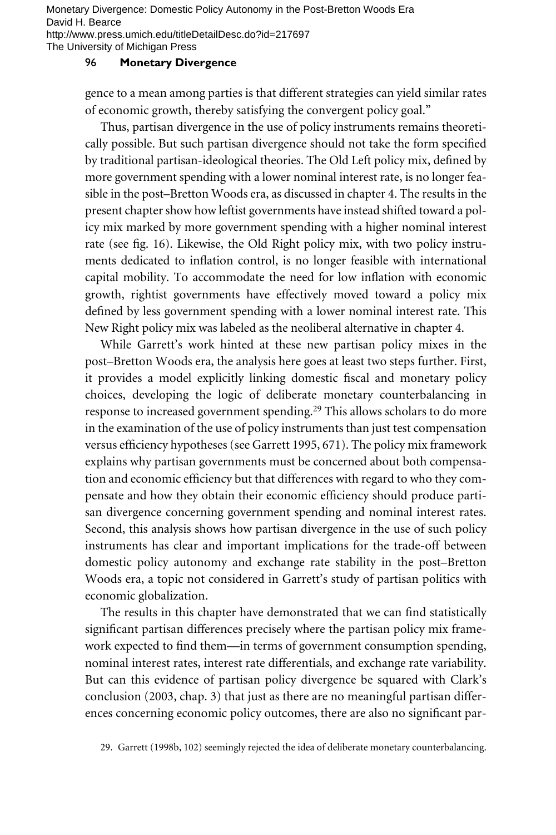# 96 **Monetary Divergence**

gence to a mean among parties is that different strategies can yield similar rates of economic growth, thereby satisfying the convergent policy goal."

Thus, partisan divergence in the use of policy instruments remains theoretically possible. But such partisan divergence should not take the form specified by traditional partisan-ideological theories. The Old Left policy mix, defined by more government spending with a lower nominal interest rate, is no longer feasible in the post–Bretton Woods era, as discussed in chapter 4. The results in the present chapter show how leftist governments have instead shifted toward a policy mix marked by more government spending with a higher nominal interest rate (see fig. 16). Likewise, the Old Right policy mix, with two policy instruments dedicated to inflation control, is no longer feasible with international capital mobility. To accommodate the need for low inflation with economic growth, rightist governments have effectively moved toward a policy mix defined by less government spending with a lower nominal interest rate. This New Right policy mix was labeled as the neoliberal alternative in chapter 4.

While Garrett's work hinted at these new partisan policy mixes in the post–Bretton Woods era, the analysis here goes at least two steps further. First, it provides a model explicitly linking domestic fiscal and monetary policy choices, developing the logic of deliberate monetary counterbalancing in response to increased government spending.<sup>29</sup> This allows scholars to do more in the examination of the use of policy instruments than just test compensation versus efficiency hypotheses (see Garrett 1995, 671). The policy mix framework explains why partisan governments must be concerned about both compensation and economic efficiency but that differences with regard to who they compensate and how they obtain their economic efficiency should produce partisan divergence concerning government spending and nominal interest rates. Second, this analysis shows how partisan divergence in the use of such policy instruments has clear and important implications for the trade-off between domestic policy autonomy and exchange rate stability in the post–Bretton Woods era, a topic not considered in Garrett's study of partisan politics with economic globalization.

The results in this chapter have demonstrated that we can find statistically significant partisan differences precisely where the partisan policy mix framework expected to find them—in terms of government consumption spending, nominal interest rates, interest rate differentials, and exchange rate variability. But can this evidence of partisan policy divergence be squared with Clark's conclusion (2003, chap. 3) that just as there are no meaningful partisan differences concerning economic policy outcomes, there are also no significant par-

29. Garrett (1998b, 102) seemingly rejected the idea of deliberate monetary counterbalancing.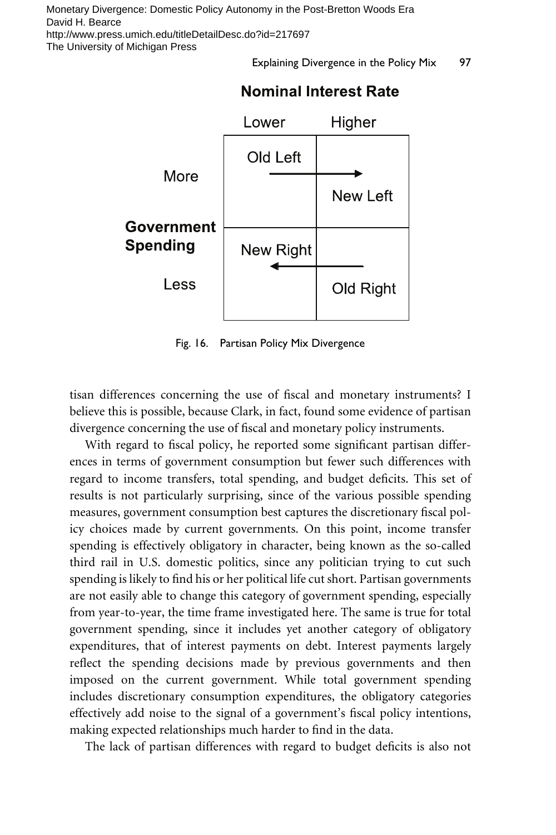Explaining Divergence in the Policy Mix 97



# **Nominal Interest Rate**

Fig. 16. Partisan Policy Mix Divergence

tisan differences concerning the use of fiscal and monetary instruments? I believe this is possible, because Clark, in fact, found some evidence of partisan divergence concerning the use of fiscal and monetary policy instruments.

With regard to fiscal policy, he reported some significant partisan differences in terms of government consumption but fewer such differences with regard to income transfers, total spending, and budget deficits. This set of results is not particularly surprising, since of the various possible spending measures, government consumption best captures the discretionary fiscal policy choices made by current governments. On this point, income transfer spending is effectively obligatory in character, being known as the so-called third rail in U.S. domestic politics, since any politician trying to cut such spending is likely to find his or her political life cut short. Partisan governments are not easily able to change this category of government spending, especially from year-to-year, the time frame investigated here. The same is true for total government spending, since it includes yet another category of obligatory expenditures, that of interest payments on debt. Interest payments largely reflect the spending decisions made by previous governments and then imposed on the current government. While total government spending includes discretionary consumption expenditures, the obligatory categories effectively add noise to the signal of a government's fiscal policy intentions, making expected relationships much harder to find in the data.

The lack of partisan differences with regard to budget deficits is also not